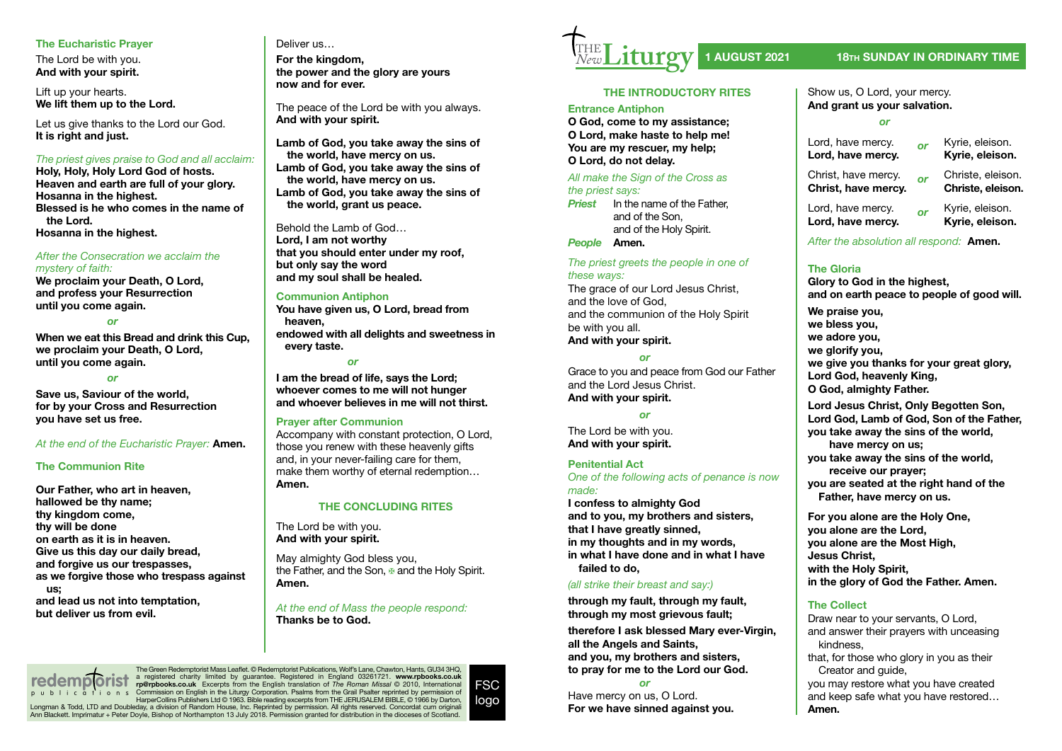# **The Eucharistic Prayer**

The Lord be with you. **And with your spirit.**

Lift up your hearts. **We lift them up to the Lord.**

Let us give thanks to the Lord our God. **It is right and just.**

## *The priest gives praise to God and all acclaim:*

**Holy, Holy, Holy Lord God of hosts. Heaven and earth are full of your glory. Hosanna in the highest. Blessed is he who comes in the name of the Lord. Hosanna in the highest.**

## *After the Consecration we acclaim the mystery of faith:*

**We proclaim your Death, O Lord, and profess your Resurrection until you come again.**

#### *or*

**When we eat this Bread and drink this Cup, we proclaim your Death, O Lord, until you come again.**

#### *or*

**Save us, Saviour of the world, for by your Cross and Resurrection you have set us free.**

## *At the end of the Eucharistic Prayer:* **Amen.**

## **The Communion Rite**

**Our Father, who art in heaven, hallowed be thy name; thy kingdom come, thy will be done on earth as it is in heaven. Give us this day our daily bread, and forgive us our trespasses, as we forgive those who trespass against us; and lead us not into temptation, but deliver us from evil.**

# Deliver us…

**For the kingdom, the power and the glory are yours now and for ever.**

The peace of the Lord be with you always. **And with your spirit.**

**Lamb of God, you take away the sins of the world, have mercy on us. Lamb of God, you take away the sins of the world, have mercy on us. Lamb of God, you take away the sins of the world, grant us peace.**

Behold the Lamb of God… **Lord, I am not worthy that you should enter under my roof, but only say the word and my soul shall be healed.**

# **Communion Antiphon**

**You have given us, O Lord, bread from heaven, endowed with all delights and sweetness in every taste.** 

#### *or*

**I am the bread of life, says the Lord; whoever comes to me will not hunger and whoever believes in me will not thirst.**

## **Prayer after Communion**

Accompany with constant protection, O Lord, those you renew with these heavenly gifts and, in your never-failing care for them, make them worthy of eternal redemption… **Amen.**

## **THE CONCLUDING RITES**

The Lord be with you. **And with your spirit.**

May almighty God bless you, the Father, and the Son, ⊕ and the Holy Spirit. **Amen.**

## *At the end of Mass the people respond:* **Thanks be to God.**

The Green Redemptorist Mass Leaflet. © Redemptorist Publications, Wolf's Lane, Chawton, Hants, GU34 3HQ,<br>a registered charity limited by guarantee. Registered in England 03261721. www.rpbooks.co.uk<br>rp@rpbooks.co.uk Excerpt Longman & Todd, LTD and Doubleday, a division of Random House, Inc. Reprinted by permission. All rights reserved. Concordat cum originali<br>Ann Blackett. Imprimatur + Peter Doyle, Bishop of Northampton 13 July 2018. Permissi **redemplorist** 





# **1 AUGUST 2021 18TH SUNDAY IN ORDINARY TIME**

# **THE INTRODUCTORY RITES**

#### **Entrance Antiphon**

**O God, come to my assistance; O Lord, make haste to help me! You are my rescuer, my help; O Lord, do not delay.**

# *All make the Sign of the Cross as*

*the priest says:*

*Priest* In the name of the Father, and of the Son, and of the Holy Spirit.

# *People* **Amen.**

*The priest greets the people in one of these ways:* The grace of our Lord Jesus Christ. and the love of God,

and the communion of the Holy Spirit be with you all. **And with your spirit.**

*or*

Grace to you and peace from God our Father and the Lord Jesus Christ. **And with your spirit.**

#### *or*

The Lord be with you. **And with your spirit.**

#### **Penitential Act**

*One of the following acts of penance is now made:*

**I confess to almighty God and to you, my brothers and sisters, that I have greatly sinned, in my thoughts and in my words, in what I have done and in what I have failed to do,**

## *(all strike their breast and say:)*

**through my fault, through my fault, through my most grievous fault; therefore I ask blessed Mary ever-Virgin, all the Angels and Saints, and you, my brothers and sisters, to pray for me to the Lord our God.**

*or*

Have mercy on us, O Lord. **For we have sinned against you.**

#### Show us, O Lord, your mercy. **And grant us your salvation.**

*or*

| Lord, have mercy.<br>Lord, have mercy.     | or | Kyrie, eleison.<br>Kyrie, eleison.     |
|--------------------------------------------|----|----------------------------------------|
| Christ, have mercy.<br>Christ, have mercy. | or | Christe, eleison.<br>Christe, eleison. |
| Lord, have mercy.<br>Lord, have mercy.     | or | Kyrie, eleison.<br>Kyrie, eleison.     |

*After the absolution all respond:* **Amen.**

# **The Gloria**

**Glory to God in the highest, and on earth peace to people of good will. We praise you, we bless you, we adore you, we glorify you, we give you thanks for your great glory, Lord God, heavenly King, O God, almighty Father. Lord Jesus Christ, Only Begotten Son, Lord God, Lamb of God, Son of the Father, you take away the sins of the world, have mercy on us; you take away the sins of the world, receive our prayer; you are seated at the right hand of the Father, have mercy on us.**

**For you alone are the Holy One, you alone are the Lord, you alone are the Most High, Jesus Christ, with the Holy Spirit, in the glory of God the Father. Amen.**

# **The Collect**

Draw near to your servants, O Lord, and answer their prayers with unceasing kindness,

that, for those who glory in you as their Creator and guide,

you may restore what you have created and keep safe what you have restored… **Amen.**